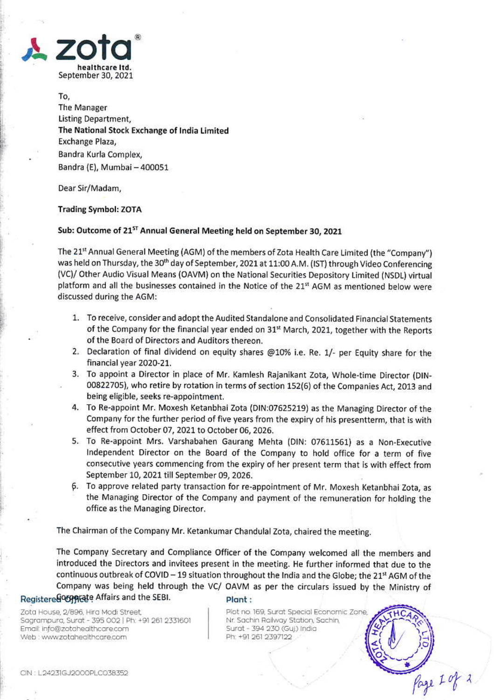

To, The Manager Listing Department, The National Stock Exchange of India Limited Exchange Plaza, Bandra Kurla Complex, Bandra (E), Mumbai - 400051

Dear Sir/Madam,

## **Trading Symbol: ZOTA**

## Sub: Outcome of 21<sup>ST</sup> Annual General Meeting held on September 30, 2021

The 21st Annual General Meeting (AGM) of the members of Zota Health Care Limited (the "Company") was held on Thursday, the 30<sup>th</sup> day of September, 2021 at 11:00 A.M. (IST) through Video Conferencing (VC)/ Other Audio Visual Means (OAVM) on the National Securities Depository Limited (NSDL) virtual platform and all the businesses contained in the Notice of the 21st AGM as mentioned below were discussed during the AGM:

- 1. To receive, consider and adopt the Audited Standalone and Consolidated Financial Statements of the Company for the financial year ended on 31<sup>st</sup> March, 2021, together with the Reports of the Board of Directors and Auditors thereon.
- 2. Declaration of final dividend on equity shares @10% i.e. Re. 1/- per Equity share for the financial year 2020-21.
- 3. To appoint a Director in place of Mr. Kamlesh Rajanikant Zota, Whole-time Director (DIN-00822705), who retire by rotation in terms of section 152(6) of the Companies Act, 2013 and being eligible, seeks re-appointment.
- 4. To Re-appoint Mr. Moxesh Ketanbhai Zota (DIN:07625219) as the Managing Director of the Company for the further period of five years from the expiry of his presentterm, that is with effect from October 07, 2021 to October 06, 2026.
- 5. To Re-appoint Mrs. Varshabahen Gaurang Mehta (DIN: 07611561) as a Non-Executive Independent Director on the Board of the Company to hold office for a term of five consecutive years commencing from the expiry of her present term that is with effect from September 10, 2021 till September 09, 2026.
- 6. To approve related party transaction for re-appointment of Mr. Moxesh Ketanbhai Zota, as the Managing Director of the Company and payment of the remuneration for holding the office as the Managing Director.

The Chairman of the Company Mr. Ketankumar Chandulal Zota, chaired the meeting.

The Company Secretary and Compliance Officer of the Company welcomed all the members and introduced the Directors and invitees present in the meeting. He further informed that due to the continuous outbreak of COVID - 19 situation throughout the India and the Globe; the 21st AGM of the Company was being held through the VC/ OAVM as per the circulars issued by the Ministry of Registere GOOD Realth Affairs and the SEBI.

Zota House, 2/896, Hira Modi Street, Sagrampura, Surat - 395 002 | Ph: +91 261 2331601 Email: info@zotahealthcare.com Web : www.zotahealthcare.com

## Plant:

Plot no. 169, Surat Special Economic Zone Nr. Sachin Railway Station, Sachin, Surat - 394 230 (Guj) India Ph: +91 261 2397122

Page I of 2